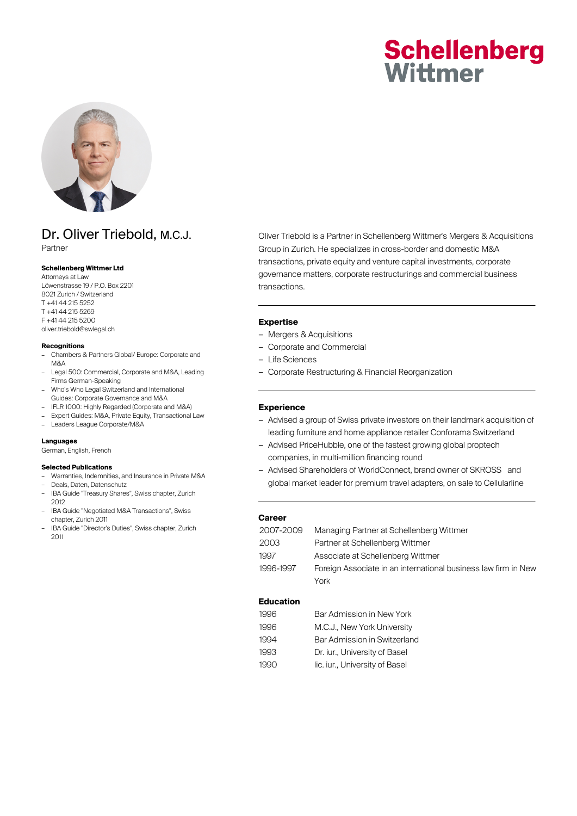# **Schellenberg** Wittmer



## Dr. Oliver Triebold, M.C.J.

Partner

#### **Schellenberg Wittmer Ltd**

Attorneys at Law Löwenstrasse 19 / P.O. Box 2201 8021 Zurich / Switzerland T +41 44 215 5252 T +41 44 215 5269 F +41 44 215 5200 oliver.triebold@swlegal.ch

#### **Recognitions**

- Chambers & Partners Global/ Europe: Corporate and M&A
- Legal 500: Commercial, Corporate and M&A, Leading Firms German-Speaking
- Who's Who Legal Switzerland and International Guides: Corporate Governance and M&A
- IFLR 1000: Highly Regarded (Corporate and M&A) – Expert Guides: M&A, Private Equity, Transactional Law
- Leaders League Corporate/M&A

#### **Languages**

German, English, French

#### **Selected Publications**

- Warranties, Indemnities, and Insurance in Private M&A
- Deals, Daten, Datenschutz
- IBA Guide "Treasury Shares", Swiss chapter, Zurich 2012
- IBA Guide "Negotiated M&A Transactions", Swiss chapter, Zurich 2011
- IBA Guide "Director's Duties", Swiss chapter, Zurich 2011

Oliver Triebold is a Partner in Schellenberg Wittmer's Mergers & Acquisitions Group in Zurich. He specializes in cross-border and domestic M&A transactions, private equity and venture capital investments, corporate governance matters, corporate restructurings and commercial business transactions.

#### **Expertise**

- Mergers & Acquisitions
- Corporate and Commercial
- Life Sciences
- Corporate Restructuring & Financial Reorganization

#### **Experience**

- Advised a group of Swiss private investors on their landmark acquisition of leading furniture and home appliance retailer Conforama Switzerland
- Advised PriceHubble, one of the fastest growing global proptech companies, in multi-million financing round
- Advised Shareholders of WorldConnect, brand owner of SKROSS® and global market leader for premium travel adapters, on sale to Cellularline

#### **Career**

| 2007-2009 | Managing Partner at Schellenberg Wittmer                       |
|-----------|----------------------------------------------------------------|
| 2003      | Partner at Schellenberg Wittmer                                |
| 1997      | Associate at Schellenberg Wittmer                              |
| 1996-1997 | Foreign Associate in an international business law firm in New |
|           | York                                                           |

#### **Education**

| 1996 | Bar Admission in New York      |
|------|--------------------------------|
| 1996 | M.C.J., New York University    |
| 1994 | Bar Admission in Switzerland   |
| 1993 | Dr. iur., University of Basel  |
| 1990 | lic. iur., University of Basel |